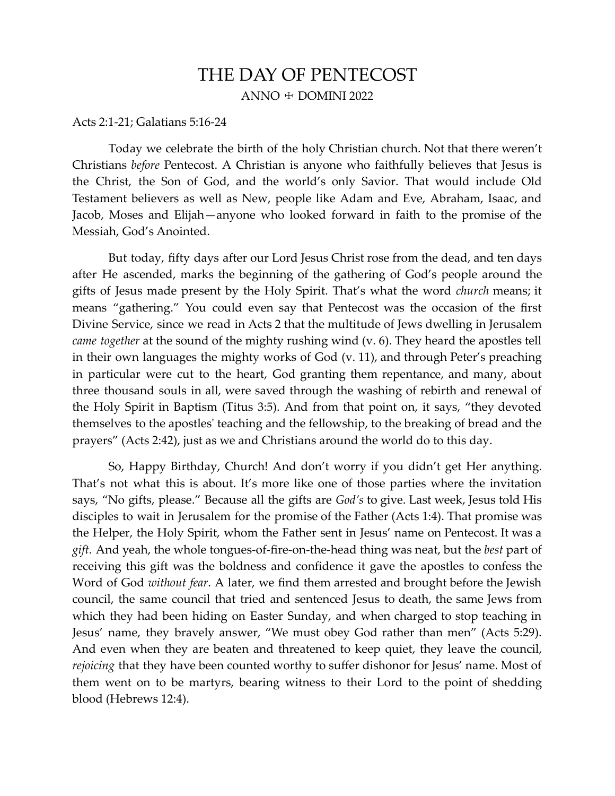## THE DAY OF PENTECOST ANNO  $+$  DOMINI 2022

## Acts 2:1-21; Galatians 5:16-24

Today we celebrate the birth of the holy Christian church. Not that there weren't Christians *before* Pentecost. A Christian is anyone who faithfully believes that Jesus is the Christ, the Son of God, and the world's only Savior. That would include Old Testament believers as well as New, people like Adam and Eve, Abraham, Isaac, and Jacob, Moses and Elijah—anyone who looked forward in faith to the promise of the Messiah, God's Anointed.

But today, fifty days after our Lord Jesus Christ rose from the dead, and ten days after He ascended, marks the beginning of the gathering of God's people around the gifts of Jesus made present by the Holy Spirit. That's what the word *church* means; it means "gathering." You could even say that Pentecost was the occasion of the first Divine Service, since we read in Acts 2 that the multitude of Jews dwelling in Jerusalem *came together* at the sound of the mighty rushing wind (v. 6). They heard the apostles tell in their own languages the mighty works of God (v. 11), and through Peter's preaching in particular were cut to the heart, God granting them repentance, and many, about three thousand souls in all, were saved through the washing of rebirth and renewal of the Holy Spirit in Baptism (Titus 3:5). And from that point on, it says, "they devoted themselves to the apostles' teaching and the fellowship, to the breaking of bread and the prayers" (Acts 2:42), just as we and Christians around the world do to this day.

So, Happy Birthday, Church! And don't worry if you didn't get Her anything. That's not what this is about. It's more like one of those parties where the invitation says, "No gifts, please." Because all the gifts are *God's* to give. Last week, Jesus told His disciples to wait in Jerusalem for the promise of the Father (Acts 1:4). That promise was the Helper, the Holy Spirit, whom the Father sent in Jesus' name on Pentecost. It was a *gift*. And yeah, the whole tongues-of-fire-on-the-head thing was neat, but the *best* part of receiving this gift was the boldness and confidence it gave the apostles to confess the Word of God *without fear*. A later, we find them arrested and brought before the Jewish council, the same council that tried and sentenced Jesus to death, the same Jews from which they had been hiding on Easter Sunday, and when charged to stop teaching in Jesus' name, they bravely answer, "We must obey God rather than men" (Acts 5:29). And even when they are beaten and threatened to keep quiet, they leave the council, *rejoicing* that they have been counted worthy to suffer dishonor for Jesus' name. Most of them went on to be martyrs, bearing witness to their Lord to the point of shedding blood (Hebrews 12:4).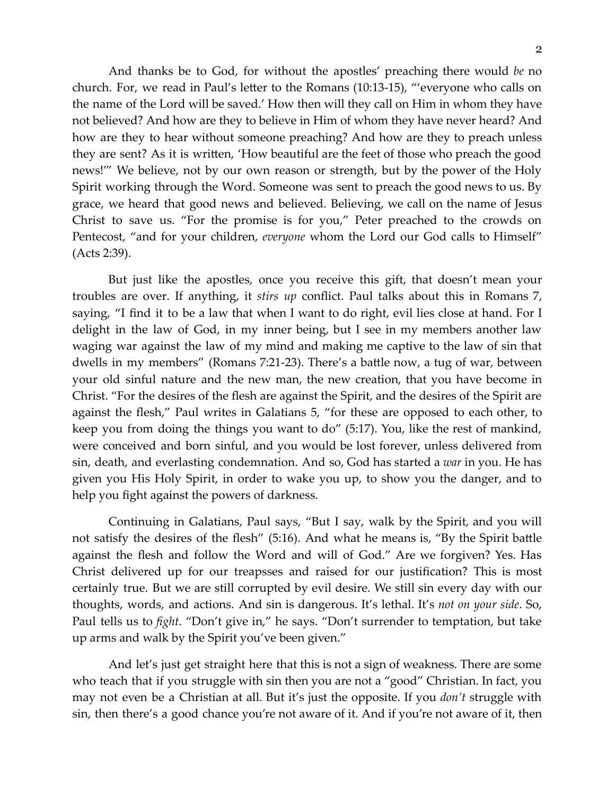And thanks be to God, for without the apostles' preaching there would *be* no church. For, we read in Paul's letter to the Romans (10:13-15), "'everyone who calls on the name of the Lord will be saved.' How then will they call on Him in whom they have not believed? And how are they to believe in Him of whom they have never heard? And how are they to hear without someone preaching? And how are they to preach unless they are sent? As it is written, 'How beautiful are the feet of those who preach the good news!'" We believe, not by our own reason or strength, but by the power of the Holy Spirit working through the Word. Someone was sent to preach the good news to us. By grace, we heard that good news and believed. Believing, we call on the name of Jesus Christ to save us. "For the promise is for you," Peter preached to the crowds on Pentecost, "and for your children, *everyone* whom the Lord our God calls to Himself" (Acts 2:39).

But just like the apostles, once you receive this gift, that doesn't mean your troubles are over. If anything, it *stirs up* conflict. Paul talks about this in Romans 7, saying, "I find it to be a law that when I want to do right, evil lies close at hand. For I delight in the law of God, in my inner being, but I see in my members another law waging war against the law of my mind and making me captive to the law of sin that dwells in my members" (Romans 7:21-23). There's a battle now, a tug of war, between your old sinful nature and the new man, the new creation, that you have become in Christ. "For the desires of the flesh are against the Spirit, and the desires of the Spirit are against the flesh," Paul writes in Galatians 5, "for these are opposed to each other, to keep you from doing the things you want to do" (5:17). You, like the rest of mankind, were conceived and born sinful, and you would be lost forever, unless delivered from sin, death, and everlasting condemnation. And so, God has started a *war* in you. He has given you His Holy Spirit, in order to wake you up, to show you the danger, and to help you fight against the powers of darkness.

Continuing in Galatians, Paul says, "But I say, walk by the Spirit, and you will not satisfy the desires of the flesh" (5:16). And what he means is, "By the Spirit battle against the flesh and follow the Word and will of God." Are we forgiven? Yes. Has Christ delivered up for our treapsses and raised for our justification? This is most certainly true. But we are still corrupted by evil desire. We still sin every day with our thoughts, words, and actions. And sin is dangerous. It's lethal. It's *not on your side*. So, Paul tells us to *fight*. "Don't give in," he says. "Don't surrender to temptation, but take up arms and walk by the Spirit you've been given."

And let's just get straight here that this is not a sign of weakness. There are some who teach that if you struggle with sin then you are not a "good" Christian. In fact, you may not even be a Christian at all. But it's just the opposite. If you *don't* struggle with sin, then there's a good chance you're not aware of it. And if you're not aware of it, then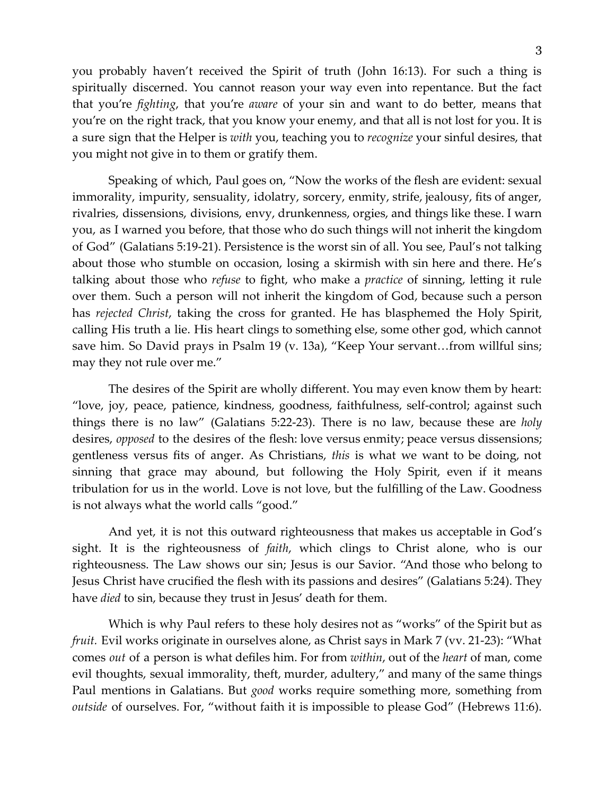you probably haven't received the Spirit of truth (John 16:13). For such a thing is spiritually discerned. You cannot reason your way even into repentance. But the fact that you're *fighting*, that you're *aware* of your sin and want to do better, means that you're on the right track, that you know your enemy, and that all is not lost for you. It is a sure sign that the Helper is *with* you, teaching you to *recognize* your sinful desires, that you might not give in to them or gratify them.

Speaking of which, Paul goes on, "Now the works of the flesh are evident: sexual immorality, impurity, sensuality, idolatry, sorcery, enmity, strife, jealousy, fits of anger, rivalries, dissensions, divisions, envy, drunkenness, orgies, and things like these. I warn you, as I warned you before, that those who do such things will not inherit the kingdom of God" (Galatians 5:19-21). Persistence is the worst sin of all. You see, Paul's not talking about those who stumble on occasion, losing a skirmish with sin here and there. He's talking about those who *refuse* to fight, who make a *practice* of sinning, letting it rule over them. Such a person will not inherit the kingdom of God, because such a person has *rejected Christ*, taking the cross for granted. He has blasphemed the Holy Spirit, calling His truth a lie. His heart clings to something else, some other god, which cannot save him. So David prays in Psalm 19 (v. 13a), "Keep Your servant…from willful sins; may they not rule over me."

The desires of the Spirit are wholly different. You may even know them by heart: "love, joy, peace, patience, kindness, goodness, faithfulness, self-control; against such things there is no law" (Galatians 5:22-23). There is no law, because these are *holy* desires, *opposed* to the desires of the flesh: love versus enmity; peace versus dissensions; gentleness versus fits of anger. As Christians, *this* is what we want to be doing, not sinning that grace may abound, but following the Holy Spirit, even if it means tribulation for us in the world. Love is not love, but the fulfilling of the Law. Goodness is not always what the world calls "good."

And yet, it is not this outward righteousness that makes us acceptable in God's sight. It is the righteousness of *faith*, which clings to Christ alone, who is our righteousness. The Law shows our sin; Jesus is our Savior. "And those who belong to Jesus Christ have crucified the flesh with its passions and desires" (Galatians 5:24). They have *died* to sin, because they trust in Jesus' death for them.

Which is why Paul refers to these holy desires not as "works" of the Spirit but as *fruit.* Evil works originate in ourselves alone, as Christ says in Mark 7 (vv. 21-23): "What comes *out* of a person is what defiles him. For from *within*, out of the *heart* of man, come evil thoughts, sexual immorality, theft, murder, adultery," and many of the same things Paul mentions in Galatians. But *good* works require something more, something from *outside* of ourselves. For, "without faith it is impossible to please God" (Hebrews 11:6).